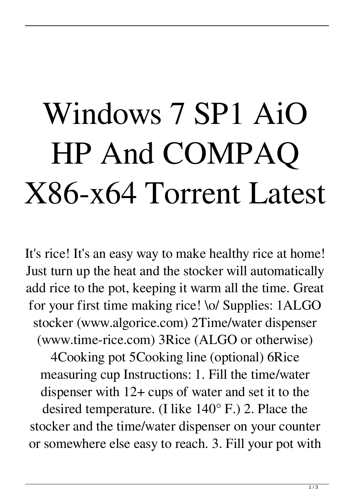## Windows 7 SP1 AiO HP And COMPAQ X86-x64 Torrent Latest

It's rice! It's an easy way to make healthy rice at home! Just turn up the heat and the stocker will automatically add rice to the pot, keeping it warm all the time. Great for your first time making rice! \o/ Supplies: 1ALGO stocker (www.algorice.com) 2Time/water dispenser (www.time-rice.com) 3Rice (ALGO or otherwise) 4Cooking pot 5Cooking line (optional) 6Rice

measuring cup Instructions: 1. Fill the time/water dispenser with 12+ cups of water and set it to the desired temperature. (I like 140° F.) 2. Place the stocker and the time/water dispenser on your counter or somewhere else easy to reach. 3. Fill your pot with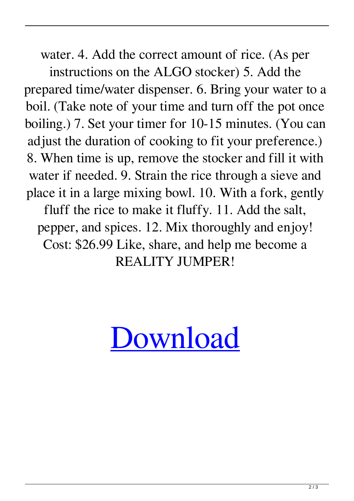water. 4. Add the correct amount of rice. (As per

instructions on the ALGO stocker) 5. Add the prepared time/water dispenser. 6. Bring your water to a boil. (Take note of your time and turn off the pot once boiling.) 7. Set your timer for 10-15 minutes. (You can adjust the duration of cooking to fit your preference.) 8. When time is up, remove the stocker and fill it with water if needed. 9. Strain the rice through a sieve and place it in a large mixing bowl. 10. With a fork, gently fluff the rice to make it fluffy. 11. Add the salt, pepper, and spices. 12. Mix thoroughly and enjoy! Cost: \$26.99 Like, share, and help me become a REALITY JUMPER!